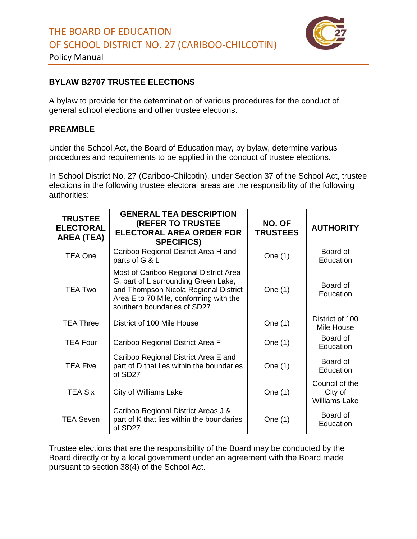

Policy Manual

## **BYLAW B2707 TRUSTEE ELECTIONS**

A bylaw to provide for the determination of various procedures for the conduct of general school elections and other trustee elections.

## **PREAMBLE**

Under the School Act, the Board of Education may, by bylaw, determine various procedures and requirements to be applied in the conduct of trustee elections.

In School District No. 27 (Cariboo-Chilcotin), under Section 37 of the School Act, trustee elections in the following trustee electoral areas are the responsibility of the following authorities:

| <b>TRUSTEE</b><br><b>ELECTORAL</b><br><b>AREA (TEA)</b> | <b>GENERAL TEA DESCRIPTION</b><br><b>(REFER TO TRUSTEE</b><br><b>ELECTORAL AREA ORDER FOR</b><br><b>SPECIFICS)</b>                                                                               | NO. OF<br><b>TRUSTEES</b> | <b>AUTHORITY</b>                                  |
|---------------------------------------------------------|--------------------------------------------------------------------------------------------------------------------------------------------------------------------------------------------------|---------------------------|---------------------------------------------------|
| TEA One                                                 | Cariboo Regional District Area H and<br>parts of G & L                                                                                                                                           | One (1)                   | Board of<br>Education                             |
| <b>TEA Two</b>                                          | Most of Cariboo Regional District Area<br>G, part of L surrounding Green Lake,<br>and Thompson Nicola Regional District<br>Area E to 70 Mile, conforming with the<br>southern boundaries of SD27 | One (1)                   | Board of<br>Education                             |
| <b>TEA Three</b>                                        | District of 100 Mile House                                                                                                                                                                       | One (1)                   | District of 100<br>Mile House                     |
| <b>TEA Four</b>                                         | Cariboo Regional District Area F                                                                                                                                                                 | One (1)                   | Board of<br>Education                             |
| <b>TEA Five</b>                                         | Cariboo Regional District Area E and<br>part of D that lies within the boundaries<br>of SD27                                                                                                     | One (1)                   | Board of<br>Education                             |
| <b>TEA Six</b>                                          | <b>City of Williams Lake</b>                                                                                                                                                                     | One (1)                   | Council of the<br>City of<br><b>Williams Lake</b> |
| <b>TEA Seven</b>                                        | Cariboo Regional District Areas J &<br>part of K that lies within the boundaries<br>of SD27                                                                                                      | One $(1)$                 | Board of<br>Education                             |

Trustee elections that are the responsibility of the Board may be conducted by the Board directly or by a local government under an agreement with the Board made pursuant to section 38(4) of the School Act.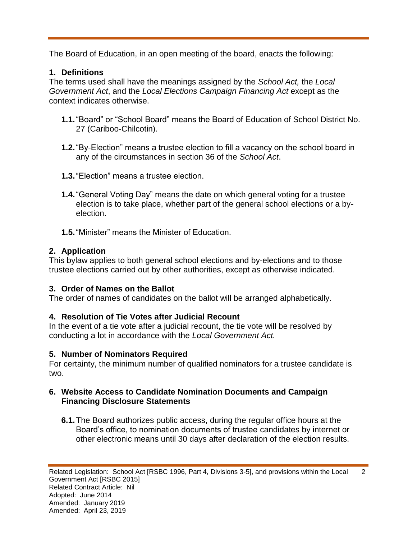The Board of Education, in an open meeting of the board, enacts the following:

## **1. Definitions**

The terms used shall have the meanings assigned by the *School Act,* the *Local Government Act*, and the *Local Elections Campaign Financing Act* except as the context indicates otherwise.

- **1.1.**"Board" or "School Board" means the Board of Education of School District No. 27 (Cariboo-Chilcotin).
- **1.2.**"By-Election" means a trustee election to fill a vacancy on the school board in any of the circumstances in section 36 of the *School Act*.
- **1.3.**"Election" means a trustee election.
- **1.4.**"General Voting Day" means the date on which general voting for a trustee election is to take place, whether part of the general school elections or a byelection.
- **1.5.**"Minister" means the Minister of Education.

# **2. Application**

This bylaw applies to both general school elections and by-elections and to those trustee elections carried out by other authorities, except as otherwise indicated.

## **3. Order of Names on the Ballot**

The order of names of candidates on the ballot will be arranged alphabetically.

# **4. Resolution of Tie Votes after Judicial Recount**

In the event of a tie vote after a judicial recount, the tie vote will be resolved by conducting a lot in accordance with the *Local Government Act.*

## **5. Number of Nominators Required**

For certainty, the minimum number of qualified nominators for a trustee candidate is two.

## **6. Website Access to Candidate Nomination Documents and Campaign Financing Disclosure Statements**

**6.1.**The Board authorizes public access, during the regular office hours at the Board's office, to nomination documents of trustee candidates by internet or other electronic means until 30 days after declaration of the election results.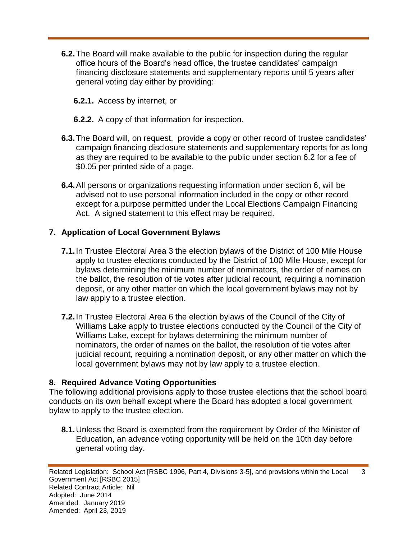- **6.2.**The Board will make available to the public for inspection during the regular office hours of the Board's head office, the trustee candidates' campaign financing disclosure statements and supplementary reports until 5 years after general voting day either by providing:
	- **6.2.1.** Access by internet, or
	- **6.2.2.** A copy of that information for inspection.
- **6.3.**The Board will, on request, provide a copy or other record of trustee candidates' campaign financing disclosure statements and supplementary reports for as long as they are required to be available to the public under section 6.2 for a fee of \$0.05 per printed side of a page.
- **6.4.**All persons or organizations requesting information under section 6, will be advised not to use personal information included in the copy or other record except for a purpose permitted under the Local Elections Campaign Financing Act. A signed statement to this effect may be required.

### **7. Application of Local Government Bylaws**

- **7.1.**In Trustee Electoral Area 3 the election bylaws of the District of 100 Mile House apply to trustee elections conducted by the District of 100 Mile House, except for bylaws determining the minimum number of nominators, the order of names on the ballot, the resolution of tie votes after judicial recount, requiring a nomination deposit, or any other matter on which the local government bylaws may not by law apply to a trustee election.
- **7.2.**In Trustee Electoral Area 6 the election bylaws of the Council of the City of Williams Lake apply to trustee elections conducted by the Council of the City of Williams Lake, except for bylaws determining the minimum number of nominators, the order of names on the ballot, the resolution of tie votes after judicial recount, requiring a nomination deposit, or any other matter on which the local government bylaws may not by law apply to a trustee election.

#### **8. Required Advance Voting Opportunities**

The following additional provisions apply to those trustee elections that the school board conducts on its own behalf except where the Board has adopted a local government bylaw to apply to the trustee election.

**8.1.**Unless the Board is exempted from the requirement by Order of the Minister of Education, an advance voting opportunity will be held on the 10th day before general voting day.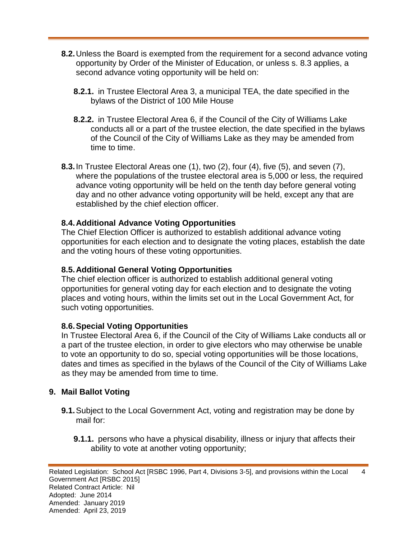- **8.2.**Unless the Board is exempted from the requirement for a second advance voting opportunity by Order of the Minister of Education, or unless s. 8.3 applies, a second advance voting opportunity will be held on:
	- **8.2.1.** in Trustee Electoral Area 3, a municipal TEA, the date specified in the bylaws of the District of 100 Mile House
	- **8.2.2.** in Trustee Electoral Area 6, if the Council of the City of Williams Lake conducts all or a part of the trustee election, the date specified in the bylaws of the Council of the City of Williams Lake as they may be amended from time to time.
- **8.3.**In Trustee Electoral Areas one (1), two (2), four (4), five (5), and seven (7), where the populations of the trustee electoral area is 5,000 or less, the required advance voting opportunity will be held on the tenth day before general voting day and no other advance voting opportunity will be held, except any that are established by the chief election officer.

### **8.4.Additional Advance Voting Opportunities**

The Chief Election Officer is authorized to establish additional advance voting opportunities for each election and to designate the voting places, establish the date and the voting hours of these voting opportunities.

#### **8.5.Additional General Voting Opportunities**

The chief election officer is authorized to establish additional general voting opportunities for general voting day for each election and to designate the voting places and voting hours, within the limits set out in the Local Government Act, for such voting opportunities.

#### **8.6.Special Voting Opportunities**

In Trustee Electoral Area 6, if the Council of the City of Williams Lake conducts all or a part of the trustee election, in order to give electors who may otherwise be unable to vote an opportunity to do so, special voting opportunities will be those locations, dates and times as specified in the bylaws of the Council of the City of Williams Lake as they may be amended from time to time.

#### **9. Mail Ballot Voting**

- **9.1.**Subject to the Local Government Act, voting and registration may be done by mail for:
	- **9.1.1.** persons who have a physical disability, illness or injury that affects their ability to vote at another voting opportunity;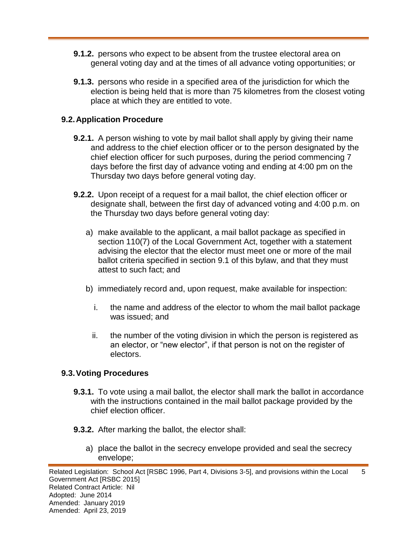- **9.1.2.** persons who expect to be absent from the trustee electoral area on general voting day and at the times of all advance voting opportunities; or
- **9.1.3.** persons who reside in a specified area of the jurisdiction for which the election is being held that is more than 75 kilometres from the closest voting place at which they are entitled to vote.

### **9.2.Application Procedure**

- **9.2.1.** A person wishing to vote by mail ballot shall apply by giving their name and address to the chief election officer or to the person designated by the chief election officer for such purposes, during the period commencing 7 days before the first day of advance voting and ending at 4:00 pm on the Thursday two days before general voting day.
- **9.2.2.** Upon receipt of a request for a mail ballot, the chief election officer or designate shall, between the first day of advanced voting and 4:00 p.m. on the Thursday two days before general voting day:
	- a) make available to the applicant, a mail ballot package as specified in section 110(7) of the Local Government Act, together with a statement advising the elector that the elector must meet one or more of the mail ballot criteria specified in section 9.1 of this bylaw, and that they must attest to such fact; and
	- b) immediately record and, upon request, make available for inspection:
		- i. the name and address of the elector to whom the mail ballot package was issued; and
		- ii. the number of the voting division in which the person is registered as an elector, or "new elector", if that person is not on the register of electors.

### **9.3.Voting Procedures**

- **9.3.1.** To vote using a mail ballot, the elector shall mark the ballot in accordance with the instructions contained in the mail ballot package provided by the chief election officer.
- **9.3.2.** After marking the ballot, the elector shall:
	- a) place the ballot in the secrecy envelope provided and seal the secrecy envelope;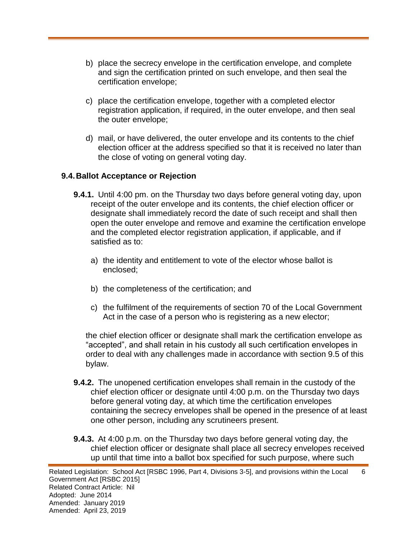- b) place the secrecy envelope in the certification envelope, and complete and sign the certification printed on such envelope, and then seal the certification envelope;
- c) place the certification envelope, together with a completed elector registration application, if required, in the outer envelope, and then seal the outer envelope;
- d) mail, or have delivered, the outer envelope and its contents to the chief election officer at the address specified so that it is received no later than the close of voting on general voting day.

#### **9.4.Ballot Acceptance or Rejection**

- **9.4.1.** Until 4:00 pm. on the Thursday two days before general voting day, upon receipt of the outer envelope and its contents, the chief election officer or designate shall immediately record the date of such receipt and shall then open the outer envelope and remove and examine the certification envelope and the completed elector registration application, if applicable, and if satisfied as to:
	- a) the identity and entitlement to vote of the elector whose ballot is enclosed;
	- b) the completeness of the certification; and
	- c) the fulfilment of the requirements of section 70 of the Local Government Act in the case of a person who is registering as a new elector;

the chief election officer or designate shall mark the certification envelope as "accepted", and shall retain in his custody all such certification envelopes in order to deal with any challenges made in accordance with section 9.5 of this bylaw.

- **9.4.2.** The unopened certification envelopes shall remain in the custody of the chief election officer or designate until 4:00 p.m. on the Thursday two days before general voting day, at which time the certification envelopes containing the secrecy envelopes shall be opened in the presence of at least one other person, including any scrutineers present.
- **9.4.3.** At 4:00 p.m. on the Thursday two days before general voting day, the chief election officer or designate shall place all secrecy envelopes received up until that time into a ballot box specified for such purpose, where such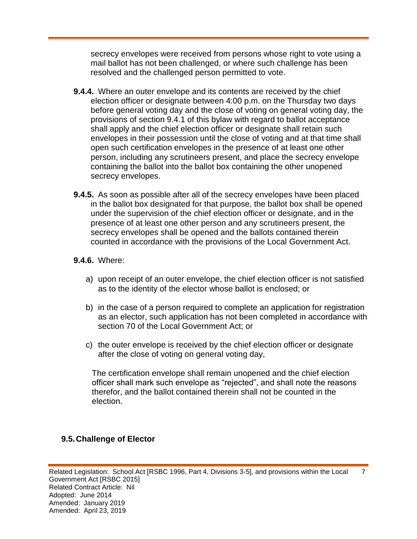secrecy envelopes were received from persons whose right to vote using a mail ballot has not been challenged, or where such challenge has been resolved and the challenged person permitted to vote.

- **9.4.4.** Where an outer envelope and its contents are received by the chief election officer or designate between 4:00 p.m. on the Thursday two days before general voting day and the close of voting on general voting day, the provisions of section 9.4.1 of this bylaw with regard to ballot acceptance shall apply and the chief election officer or designate shall retain such envelopes in their possession until the close of voting and at that time shall open such certification envelopes in the presence of at least one other person, including any scrutineers present, and place the secrecy envelope containing the ballot into the ballot box containing the other unopened secrecy envelopes.
- **9.4.5.** As soon as possible after all of the secrecy envelopes have been placed in the ballot box designated for that purpose, the ballot box shall be opened under the supervision of the chief election officer or designate, and in the presence of at least one other person and any scrutineers present, the secrecy envelopes shall be opened and the ballots contained therein counted in accordance with the provisions of the Local Government Act.

#### **9.4.6.** Where:

- a) upon receipt of an outer envelope, the chief election officer is not satisfied as to the identity of the elector whose ballot is enclosed; or
- b) in the case of a person required to complete an application for registration as an elector, such application has not been completed in accordance with section 70 of the Local Government Act; or
- c) the outer envelope is received by the chief election officer or designate after the close of voting on general voting day,

The certification envelope shall remain unopened and the chief election officer shall mark such envelope as "rejected", and shall note the reasons therefor, and the ballot contained therein shall not be counted in the election.

### **9.5.Challenge of Elector**